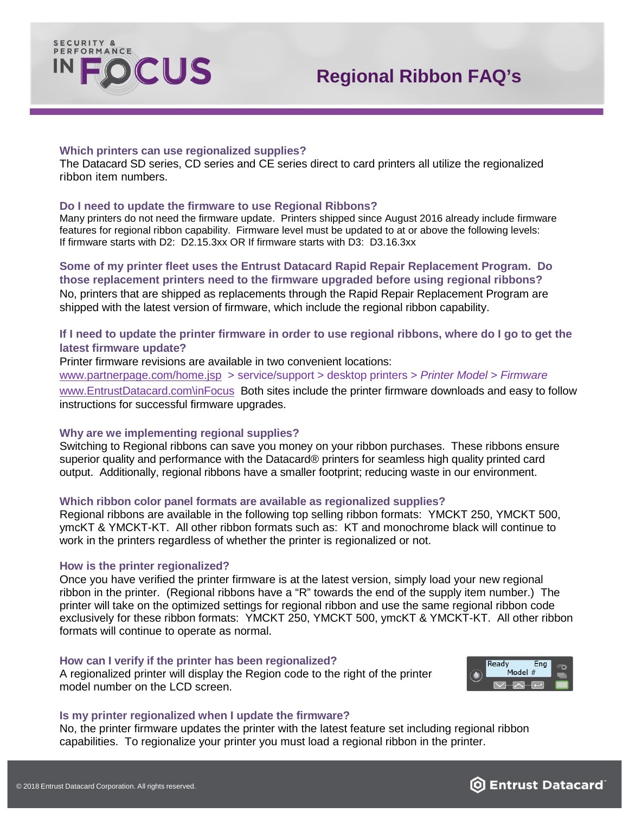

## **Which printers can use regionalized supplies?**

The Datacard SD series, CD series and CE series direct to card printers all utilize the regionalized ribbon item numbers.

## **Do I need to update the firmware to use Regional Ribbons?**

Many printers do not need the firmware update. Printers shipped since August 2016 already include firmware features for regional ribbon capability. Firmware level must be updated to at or above the following levels: If firmware starts with D2: D2.15.3xx OR If firmware starts with D3: D3.16.3xx

# **Some of my printer fleet uses the Entrust Datacard Rapid Repair Replacement Program. Do those replacement printers need to the firmware upgraded before using regional ribbons?**

No, printers that are shipped as replacements through the Rapid Repair Replacement Program are shipped with the latest version of firmware, which include the regional ribbon capability.

# **If I need to update the printer firmware in order to use regional ribbons, where do I go to get the latest firmware update?**

Printer firmware revisions are available in two convenient locations:

[www.partnerpage.com/home.jsp](http://www.partnerpage.com/home.jsp) > service/support > desktop printers > *Printer Model > Firmware* [www.EntrustDatacard.com\inFocus](http://www.entrustdatacard.com/inFocus) Both sites include the printer firmware downloads and easy to follow instructions for successful firmware upgrades.

## **Why are we implementing regional supplies?**

Switching to Regional ribbons can save you money on your ribbon purchases. These ribbons ensure superior quality and performance with the Datacard<sup>®</sup> printers for seamless high quality printed card output. Additionally, regional ribbons have a smaller footprint; reducing waste in our environment.

## **Which ribbon color panel formats are available as regionalized supplies?**

Regional ribbons are available in the following top selling ribbon formats: YMCKT 250, YMCKT 500, ymcKT & YMCKT-KT. All other ribbon formats such as: KT and monochrome black will continue to work in the printers regardless of whether the printer is regionalized or not.

### **How is the printer regionalized?**

Once you have verified the printer firmware is at the latest version, simply load your new regional ribbon in the printer. (Regional ribbons have a "R" towards the end of the supply item number.) The printer will take on the optimized settings for regional ribbon and use the same regional ribbon code exclusively for these ribbon formats: YMCKT 250, YMCKT 500, ymcKT & YMCKT-KT. All other ribbon formats will continue to operate as normal.

### **How can I verify if the printer has been regionalized?**

A regionalized printer will display the Region code to the right of the printer model number on the LCD screen.



### **Is my printer regionalized when I update the firmware?**

No, the printer firmware updates the printer with the latest feature set including regional ribbon capabilities. To regionalize your printer you must load a regional ribbon in the printer.

# **b** Entrust Datacard<sup>®</sup>